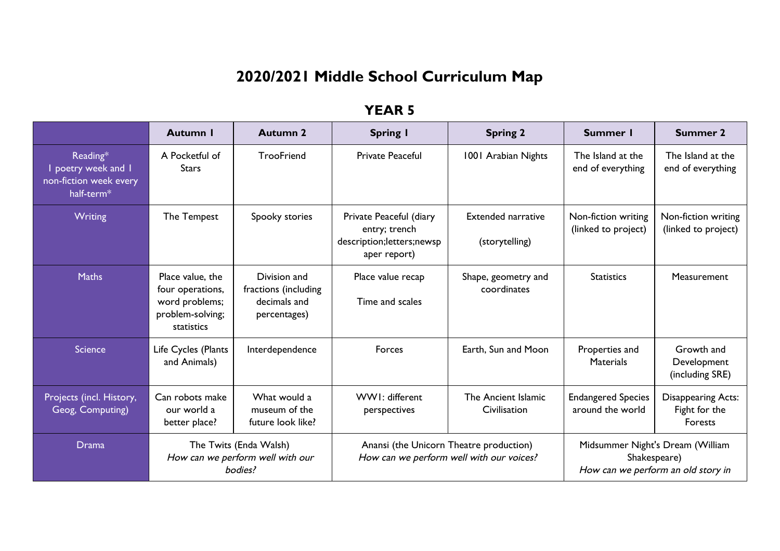# **2020/2021 Middle School Curriculum Map**

|                                                                                   | <b>Autumn I</b>                                                                          | Autumn 2                                                              | <b>Spring I</b>                                                                         | <b>Spring 2</b>                             | Summer I                                      | <b>Summer 2</b>                                                                        |
|-----------------------------------------------------------------------------------|------------------------------------------------------------------------------------------|-----------------------------------------------------------------------|-----------------------------------------------------------------------------------------|---------------------------------------------|-----------------------------------------------|----------------------------------------------------------------------------------------|
| Reading*<br>poetry week and I<br>non-fiction week every<br>half-term <sup>*</sup> | A Pocketful of<br><b>Stars</b>                                                           | TrooFriend                                                            | <b>Private Peaceful</b>                                                                 | 1001 Arabian Nights                         | The Island at the<br>end of everything        | The Island at the<br>end of everything                                                 |
| Writing                                                                           | The Tempest                                                                              | Spooky stories                                                        | Private Peaceful (diary<br>entry; trench<br>description; letters; newsp<br>aper report) | <b>Extended narrative</b><br>(storytelling) | Non-fiction writing<br>(linked to project)    | Non-fiction writing<br>(linked to project)                                             |
| <b>Maths</b>                                                                      | Place value, the<br>four operations,<br>word problems;<br>problem-solving;<br>statistics | Division and<br>fractions (including<br>decimals and<br>percentages)  | Place value recap<br>Time and scales                                                    | Shape, geometry and<br>coordinates          | <b>Statistics</b>                             | Measurement                                                                            |
| Science                                                                           | Life Cycles (Plants<br>and Animals)                                                      | Interdependence                                                       | Forces                                                                                  | Earth, Sun and Moon                         | Properties and<br><b>Materials</b>            | Growth and<br>Development<br>(including SRE)                                           |
| Projects (incl. History,<br>Geog, Computing)                                      | Can robots make<br>our world a<br>better place?                                          | What would a<br>museum of the<br>future look like?                    | WWI: different<br>perspectives                                                          | The Ancient Islamic<br>Civilisation         | <b>Endangered Species</b><br>around the world | <b>Disappearing Acts:</b><br>Fight for the<br>Forests                                  |
| <b>Drama</b>                                                                      |                                                                                          | The Twits (Enda Walsh)<br>How can we perform well with our<br>bodies? | Anansi (the Unicorn Theatre production)                                                 | How can we perform well with our voices?    |                                               | Midsummer Night's Dream (William<br>Shakespeare)<br>How can we perform an old story in |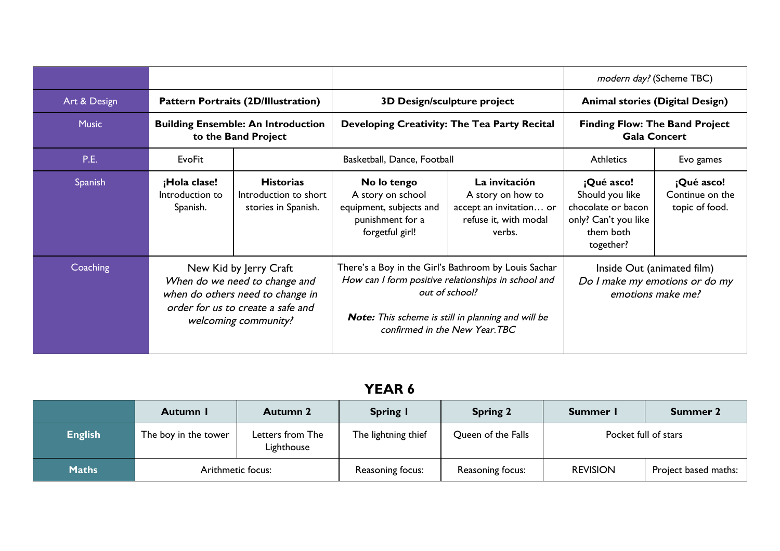|              |                                                                  |                                                                                                                                                          |                                                                                                                                                                                                                             |                                                                                                  | modern day? (Scheme TBC)                                                                              |                                                 |                                                              |  |
|--------------|------------------------------------------------------------------|----------------------------------------------------------------------------------------------------------------------------------------------------------|-----------------------------------------------------------------------------------------------------------------------------------------------------------------------------------------------------------------------------|--------------------------------------------------------------------------------------------------|-------------------------------------------------------------------------------------------------------|-------------------------------------------------|--------------------------------------------------------------|--|
| Art & Design |                                                                  | <b>Pattern Portraits (2D/Illustration)</b>                                                                                                               |                                                                                                                                                                                                                             | <b>3D Design/sculpture project</b>                                                               | <b>Animal stories (Digital Design)</b>                                                                |                                                 |                                                              |  |
| <b>Music</b> | <b>Building Ensemble: An Introduction</b><br>to the Band Project |                                                                                                                                                          | Developing Creativity: The Tea Party Recital                                                                                                                                                                                |                                                                                                  |                                                                                                       |                                                 | <b>Finding Flow: The Band Project</b><br><b>Gala Concert</b> |  |
| <b>P.E.</b>  | <b>EvoFit</b>                                                    |                                                                                                                                                          | Basketball, Dance, Football                                                                                                                                                                                                 |                                                                                                  | <b>Athletics</b>                                                                                      | Evo games                                       |                                                              |  |
| Spanish      | ¡Hola clase!<br>Introduction to<br>Spanish.                      | <b>Historias</b><br>Introduction to short<br>stories in Spanish.                                                                                         | No lo tengo<br>A story on school<br>equipment, subjects and<br>punishment for a<br>forgetful girl!                                                                                                                          | La invitación<br>A story on how to<br>accept an invitation or<br>refuse it, with modal<br>verbs. | ¡Qué asco!<br>Should you like<br>chocolate or bacon<br>only? Can't you like<br>them both<br>together? | ¡Qué asco!<br>Continue on the<br>topic of food. |                                                              |  |
| Coaching     |                                                                  | New Kid by Jerry Craft<br>When do we need to change and<br>when do others need to change in<br>order for us to create a safe and<br>welcoming community? | There's a Boy in the Girl's Bathroom by Louis Sachar<br>How can I form positive relationships in school and<br>out of school?<br><b>Note:</b> This scheme is still in planning and will be<br>confirmed in the New Year.TBC |                                                                                                  | Inside Out (animated film)<br>emotions make me?                                                       | Do I make my emotions or do my                  |                                                              |  |

|                | Autumn I             | <b>Autumn 2</b>                | <b>Spring I</b>     | <b>Spring 2</b>    | Summer I             | <b>Summer 2</b>      |
|----------------|----------------------|--------------------------------|---------------------|--------------------|----------------------|----------------------|
| <b>English</b> | The boy in the tower | Letters from The<br>Lighthouse | The lightning thief | Queen of the Falls | Pocket full of stars |                      |
| <b>Maths</b>   | Arithmetic focus:    |                                | Reasoning focus:    | Reasoning focus:   | <b>REVISION</b>      | Project based maths: |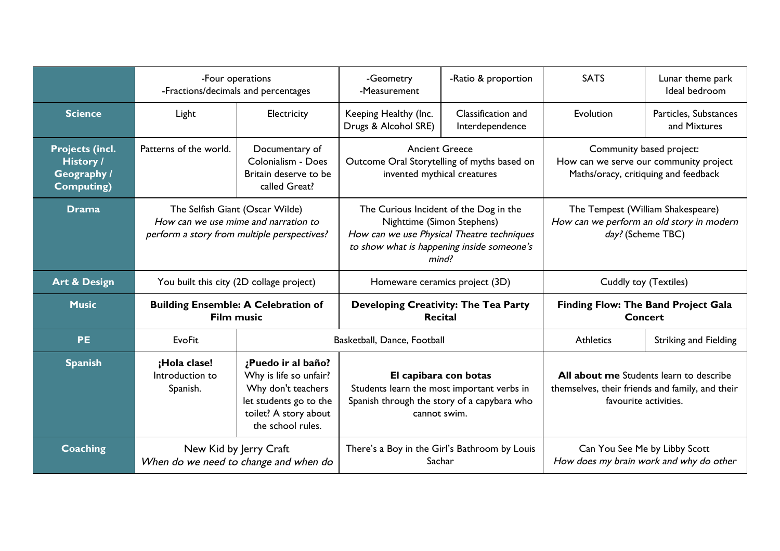|                                                                         | -Four operations<br>-Fractions/decimals and percentages |                                                                                                                                            | -Ratio & proportion<br>-Geometry<br>-Measurement                                                                                                                          |                                               | <b>SATS</b>                                                                                                | Lunar theme park<br>Ideal bedroom                                                          |  |
|-------------------------------------------------------------------------|---------------------------------------------------------|--------------------------------------------------------------------------------------------------------------------------------------------|---------------------------------------------------------------------------------------------------------------------------------------------------------------------------|-----------------------------------------------|------------------------------------------------------------------------------------------------------------|--------------------------------------------------------------------------------------------|--|
| <b>Science</b>                                                          | Light                                                   | Electricity                                                                                                                                | Classification and<br>Keeping Healthy (Inc.<br>Drugs & Alcohol SRE)<br>Interdependence                                                                                    |                                               | Evolution                                                                                                  | Particles, Substances<br>and Mixtures                                                      |  |
| <b>Projects (incl.</b><br><b>History /</b><br>Geography /<br>Computing) | Patterns of the world.                                  | Documentary of<br>Colonialism - Does<br>Britain deserve to be<br>called Great?                                                             | <b>Ancient Greece</b><br>Outcome Oral Storytelling of myths based on<br>invented mythical creatures                                                                       |                                               | Community based project:<br>How can we serve our community project<br>Maths/oracy, critiquing and feedback |                                                                                            |  |
| <b>Drama</b>                                                            | The Selfish Giant (Oscar Wilde)                         | How can we use mime and narration to<br>perform a story from multiple perspectives?                                                        | The Curious Incident of the Dog in the<br>Nighttime (Simon Stephens)<br>How can we use Physical Theatre techniques<br>to show what is happening inside someone's<br>mind? |                                               | The Tempest (William Shakespeare)<br>How can we perform an old story in modern<br>day? (Scheme TBC)        |                                                                                            |  |
| <b>Art &amp; Design</b>                                                 | You built this city (2D collage project)                |                                                                                                                                            | Homeware ceramics project (3D)                                                                                                                                            |                                               | Cuddly toy (Textiles)                                                                                      |                                                                                            |  |
| <b>Music</b>                                                            | <b>Film music</b>                                       | <b>Building Ensemble: A Celebration of</b>                                                                                                 | <b>Recital</b>                                                                                                                                                            | Developing Creativity: The Tea Party          |                                                                                                            | <b>Finding Flow: The Band Project Gala</b><br><b>Concert</b>                               |  |
| <b>PE</b>                                                               | <b>EvoFit</b>                                           |                                                                                                                                            | Basketball, Dance, Football                                                                                                                                               |                                               | <b>Athletics</b>                                                                                           | <b>Striking and Fielding</b>                                                               |  |
| <b>Spanish</b>                                                          | ¡Hola clase!<br>Introduction to<br>Spanish.             | ¿Puedo ir al baño?<br>Why is life so unfair?<br>Why don't teachers<br>let students go to the<br>toilet? A story about<br>the school rules. | El capibara con botas<br>Students learn the most important verbs in<br>Spanish through the story of a capybara who<br>cannot swim.                                        |                                               | favourite activities.                                                                                      | All about me Students learn to describe<br>themselves, their friends and family, and their |  |
| Coaching                                                                |                                                         | New Kid by Jerry Craft<br>When do we need to change and when do                                                                            | Sachar                                                                                                                                                                    | There's a Boy in the Girl's Bathroom by Louis | Can You See Me by Libby Scott                                                                              | How does my brain work and why do other                                                    |  |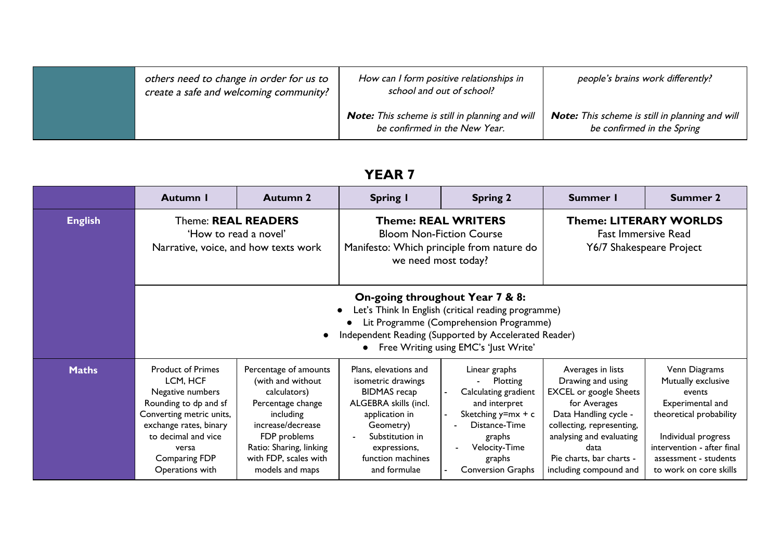| others need to change in order for us to<br>create a safe and welcoming community? | How can I form positive relationships in<br>school and out of school?                   | people's brains work differently?                                                    |
|------------------------------------------------------------------------------------|-----------------------------------------------------------------------------------------|--------------------------------------------------------------------------------------|
|                                                                                    | <b>Note:</b> This scheme is still in planning and will<br>be confirmed in the New Year. | <b>Note:</b> This scheme is still in planning and will<br>be confirmed in the Spring |

|                | Autumn I                                                                                                                                                                                                    | <b>Autumn 2</b>                                                                                                                                                                                                                                  | <b>Spring I</b>                                                                                                                                                                                    | <b>Spring 2</b>                                                                                                                                                                                  | Summer I                                                                                                                                                                                                                                | <b>Summer 2</b>                                                                                                                                                                                      |  |
|----------------|-------------------------------------------------------------------------------------------------------------------------------------------------------------------------------------------------------------|--------------------------------------------------------------------------------------------------------------------------------------------------------------------------------------------------------------------------------------------------|----------------------------------------------------------------------------------------------------------------------------------------------------------------------------------------------------|--------------------------------------------------------------------------------------------------------------------------------------------------------------------------------------------------|-----------------------------------------------------------------------------------------------------------------------------------------------------------------------------------------------------------------------------------------|------------------------------------------------------------------------------------------------------------------------------------------------------------------------------------------------------|--|
| <b>English</b> | Theme: REAL READERS<br>'How to read a novel'<br>Narrative, voice, and how texts work                                                                                                                        |                                                                                                                                                                                                                                                  | we need most today?                                                                                                                                                                                | <b>Theme: REAL WRITERS</b><br><b>Bloom Non-Fiction Course</b><br>Manifesto: Which principle from nature do                                                                                       | <b>Theme: LITERARY WORLDS</b><br><b>Fast Immersive Read</b><br>Y6/7 Shakespeare Project                                                                                                                                                 |                                                                                                                                                                                                      |  |
|                |                                                                                                                                                                                                             | On-going throughout Year 7 & 8:<br>Let's Think In English (critical reading programme)<br>Lit Programme (Comprehension Programme)<br>Independent Reading (Supported by Accelerated Reader)<br>$\bullet$<br>Free Writing using EMC's 'Just Write' |                                                                                                                                                                                                    |                                                                                                                                                                                                  |                                                                                                                                                                                                                                         |                                                                                                                                                                                                      |  |
| <b>Maths</b>   | <b>Product of Primes</b><br>LCM, HCF<br>Negative numbers<br>Rounding to dp and sf<br>Converting metric units,<br>exchange rates, binary<br>to decimal and vice<br>versa<br>Comparing FDP<br>Operations with | Percentage of amounts<br>(with and without<br>calculators)<br>Percentage change<br>including<br>increase/decrease<br>FDP problems<br>Ratio: Sharing, linking<br>with FDP, scales with<br>models and maps                                         | Plans, elevations and<br>isometric drawings<br><b>BIDMAS</b> recap<br>ALGEBRA skills (incl.<br>application in<br>Geometry)<br>Substitution in<br>expressions,<br>function machines<br>and formulae | Linear graphs<br>Plotting<br>$\sim$ 100 $\pm$<br>Calculating gradient<br>and interpret<br>Sketching $y=mx + c$<br>Distance-Time<br>graphs<br>Velocity-Time<br>graphs<br><b>Conversion Graphs</b> | Averages in lists<br>Drawing and using<br><b>EXCEL</b> or google Sheets<br>for Averages<br>Data Handling cycle -<br>collecting, representing,<br>analysing and evaluating<br>data<br>Pie charts, bar charts -<br>including compound and | Venn Diagrams<br>Mutually exclusive<br>events<br>Experimental and<br>theoretical probability<br>Individual progress<br>intervention - after final<br>assessment - students<br>to work on core skills |  |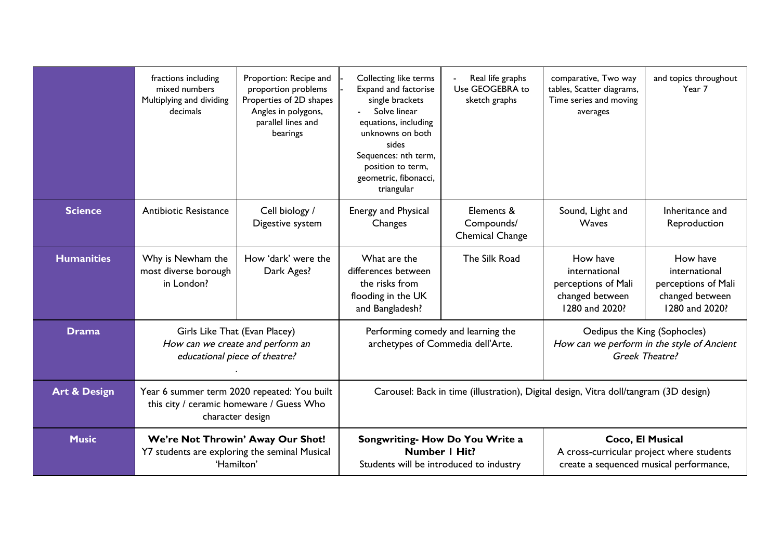|                         | fractions including<br>mixed numbers<br>Multiplying and dividing<br>decimals | Proportion: Recipe and<br>proportion problems<br>Properties of 2D shapes<br>Angles in polygons,<br>parallel lines and<br>bearings | Collecting like terms<br>Expand and factorise<br>single brackets<br>Solve linear<br>equations, including<br>unknowns on both<br>sides<br>Sequences: nth term,<br>position to term,<br>geometric, fibonacci,<br>triangular | Real life graphs<br>Use GEOGEBRA to<br>sketch graphs | comparative, Two way<br>tables, Scatter diagrams,<br>Time series and moving<br>averages                  | and topics throughout<br>Year 7                                                       |
|-------------------------|------------------------------------------------------------------------------|-----------------------------------------------------------------------------------------------------------------------------------|---------------------------------------------------------------------------------------------------------------------------------------------------------------------------------------------------------------------------|------------------------------------------------------|----------------------------------------------------------------------------------------------------------|---------------------------------------------------------------------------------------|
| <b>Science</b>          | Antibiotic Resistance                                                        | Cell biology /<br>Digestive system                                                                                                | <b>Energy and Physical</b><br>Changes                                                                                                                                                                                     | Elements &<br>Compounds/<br><b>Chemical Change</b>   | Sound, Light and<br>Waves                                                                                | Inheritance and<br>Reproduction                                                       |
| <b>Humanities</b>       | Why is Newham the<br>most diverse borough<br>in London?                      | How 'dark' were the<br>Dark Ages?                                                                                                 | What are the<br>differences between<br>the risks from<br>flooding in the UK<br>and Bangladesh?                                                                                                                            | The Silk Road                                        | How have<br>international<br>perceptions of Mali<br>changed between<br>1280 and 2020?                    | How have<br>international<br>perceptions of Mali<br>changed between<br>1280 and 2020? |
| <b>Drama</b>            |                                                                              | Girls Like That (Evan Placey)<br>How can we create and perform an<br>educational piece of theatre?                                | archetypes of Commedia dell'Arte.                                                                                                                                                                                         | Performing comedy and learning the                   | Oedipus the King (Sophocles)                                                                             | How can we perform in the style of Ancient<br>Greek Theatre?                          |
| <b>Art &amp; Design</b> |                                                                              | Year 6 summer term 2020 repeated: You built<br>this city / ceramic homeware / Guess Who<br>character design                       | Carousel: Back in time (illustration), Digital design, Vitra doll/tangram (3D design)                                                                                                                                     |                                                      |                                                                                                          |                                                                                       |
| <b>Music</b>            | Y7 students are exploring the seminal Musical                                | We're Not Throwin' Away Our Shot!<br>'Hamilton'                                                                                   | <b>Number I Hit?</b><br>Students will be introduced to industry                                                                                                                                                           | Songwriting- How Do You Write a                      | Coco, El Musical<br>A cross-curricular project where students<br>create a sequenced musical performance, |                                                                                       |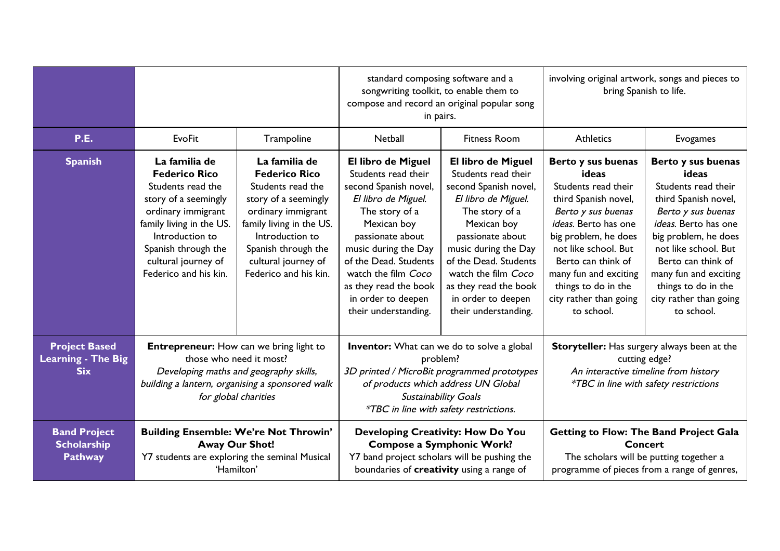|                                                                 |                                                                                                                                                                                                                                |                                                                                                                                                                                                                                | standard composing software and a<br>songwriting toolkit, to enable them to<br>compose and record an original popular song<br>in pairs.                                                                                                                                                       |                                                                                                                                                                                                                                                                                               | involving original artwork, songs and pieces to<br>bring Spanish to life.                                                                                                                                                                                                              |                                                                                                                                                                                                                                                                                        |
|-----------------------------------------------------------------|--------------------------------------------------------------------------------------------------------------------------------------------------------------------------------------------------------------------------------|--------------------------------------------------------------------------------------------------------------------------------------------------------------------------------------------------------------------------------|-----------------------------------------------------------------------------------------------------------------------------------------------------------------------------------------------------------------------------------------------------------------------------------------------|-----------------------------------------------------------------------------------------------------------------------------------------------------------------------------------------------------------------------------------------------------------------------------------------------|----------------------------------------------------------------------------------------------------------------------------------------------------------------------------------------------------------------------------------------------------------------------------------------|----------------------------------------------------------------------------------------------------------------------------------------------------------------------------------------------------------------------------------------------------------------------------------------|
| P.E.                                                            | <b>EvoFit</b>                                                                                                                                                                                                                  | Trampoline                                                                                                                                                                                                                     | Netball                                                                                                                                                                                                                                                                                       | <b>Fitness Room</b>                                                                                                                                                                                                                                                                           | <b>Athletics</b>                                                                                                                                                                                                                                                                       | Evogames                                                                                                                                                                                                                                                                               |
| <b>Spanish</b>                                                  | La familia de<br><b>Federico Rico</b><br>Students read the<br>story of a seemingly<br>ordinary immigrant<br>family living in the US.<br>Introduction to<br>Spanish through the<br>cultural journey of<br>Federico and his kin. | La familia de<br><b>Federico Rico</b><br>Students read the<br>story of a seemingly<br>ordinary immigrant<br>family living in the US.<br>Introduction to<br>Spanish through the<br>cultural journey of<br>Federico and his kin. | El libro de Miguel<br>Students read their<br>second Spanish novel,<br>El libro de Miguel.<br>The story of a<br>Mexican boy<br>passionate about<br>music during the Day<br>of the Dead. Students<br>watch the film Coco<br>as they read the book<br>in order to deepen<br>their understanding. | El libro de Miguel<br>Students read their<br>second Spanish novel,<br>El libro de Miguel.<br>The story of a<br>Mexican boy<br>passionate about<br>music during the Day<br>of the Dead. Students<br>watch the film Coco<br>as they read the book<br>in order to deepen<br>their understanding. | Berto y sus buenas<br>ideas<br>Students read their<br>third Spanish novel,<br>Berto y sus buenas<br>ideas. Berto has one<br>big problem, he does<br>not like school. But<br>Berto can think of<br>many fun and exciting<br>things to do in the<br>city rather than going<br>to school. | Berto y sus buenas<br>ideas<br>Students read their<br>third Spanish novel,<br>Berto y sus buenas<br>ideas. Berto has one<br>big problem, he does<br>not like school. But<br>Berto can think of<br>many fun and exciting<br>things to do in the<br>city rather than going<br>to school. |
| <b>Project Based</b><br><b>Learning - The Big</b><br><b>Six</b> | <b>Entrepreneur:</b> How can we bring light to<br>those who need it most?<br>Developing maths and geography skills,<br>building a lantern, organising a sponsored walk<br>for global charities                                 |                                                                                                                                                                                                                                |                                                                                                                                                                                                                                                                                               | <b>Inventor:</b> What can we do to solve a global<br>problem?<br>3D printed / MicroBit programmed prototypes<br>of products which address UN Global<br>Sustainability Goals<br>*TBC in line with safety restrictions.                                                                         |                                                                                                                                                                                                                                                                                        | Storyteller: Has surgery always been at the<br>cutting edge?<br>An interactive timeline from history<br><i>*TBC</i> in line with safety restrictions                                                                                                                                   |
| <b>Band Project</b><br><b>Scholarship</b><br><b>Pathway</b>     | <b>Building Ensemble: We're Not Throwin'</b><br><b>Away Our Shot!</b><br>Y7 students are exploring the seminal Musical<br>'Hamilton'                                                                                           |                                                                                                                                                                                                                                | Developing Creativity: How Do You<br><b>Compose a Symphonic Work?</b><br>Y7 band project scholars will be pushing the<br>boundaries of creativity using a range of                                                                                                                            |                                                                                                                                                                                                                                                                                               | <b>Concert</b>                                                                                                                                                                                                                                                                         | <b>Getting to Flow: The Band Project Gala</b><br>The scholars will be putting together a<br>programme of pieces from a range of genres,                                                                                                                                                |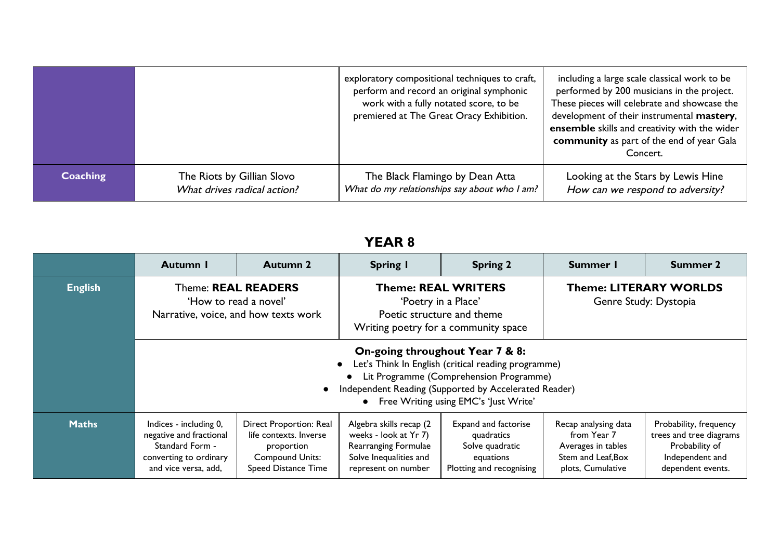|                 |                             | exploratory compositional techniques to craft,<br>perform and record an original symphonic<br>work with a fully notated score, to be<br>premiered at The Great Oracy Exhibition. | including a large scale classical work to be<br>performed by 200 musicians in the project.<br>These pieces will celebrate and showcase the<br>development of their instrumental mastery,<br>ensemble skills and creativity with the wider<br>community as part of the end of year Gala<br>Concert. |
|-----------------|-----------------------------|----------------------------------------------------------------------------------------------------------------------------------------------------------------------------------|----------------------------------------------------------------------------------------------------------------------------------------------------------------------------------------------------------------------------------------------------------------------------------------------------|
| <b>Coaching</b> | The Riots by Gillian Slovo  | The Black Flamingo by Dean Atta                                                                                                                                                  | Looking at the Stars by Lewis Hine                                                                                                                                                                                                                                                                 |
|                 | What drives radical action? | What do my relationships say about who I am?                                                                                                                                     | How can we respond to adversity?                                                                                                                                                                                                                                                                   |

|                | Autumn I                                                                                                               | <b>Autumn 2</b>                                                                                                  | <b>Spring I</b>                                                                                                                                                                                                                     | <b>Spring 2</b>                                                                                | Summer I                                                                                             | Summer 2                                                                                                    |
|----------------|------------------------------------------------------------------------------------------------------------------------|------------------------------------------------------------------------------------------------------------------|-------------------------------------------------------------------------------------------------------------------------------------------------------------------------------------------------------------------------------------|------------------------------------------------------------------------------------------------|------------------------------------------------------------------------------------------------------|-------------------------------------------------------------------------------------------------------------|
| <b>English</b> | Theme: REAL READERS<br>'How to read a novel'<br>Narrative, voice, and how texts work                                   |                                                                                                                  | <b>Theme: LITERARY WORLDS</b><br><b>Theme: REAL WRITERS</b><br>Genre Study: Dystopia<br>'Poetry in a Place'<br>Poetic structure and theme<br>Writing poetry for a community space                                                   |                                                                                                |                                                                                                      |                                                                                                             |
|                |                                                                                                                        | $\bullet$                                                                                                        | On-going throughout Year 7 & 8:<br>Let's Think In English (critical reading programme)<br>Lit Programme (Comprehension Programme)<br>Independent Reading (Supported by Accelerated Reader)<br>Free Writing using EMC's 'Just Write' |                                                                                                |                                                                                                      |                                                                                                             |
| <b>Maths</b>   | Indices - including 0,<br>negative and fractional<br>Standard Form -<br>converting to ordinary<br>and vice versa, add, | Direct Proportion: Real<br>life contexts. Inverse<br>proportion<br><b>Compound Units:</b><br>Speed Distance Time | Algebra skills recap (2<br>weeks - look at Yr 7)<br>Rearranging Formulae<br>Solve Inequalities and<br>represent on number                                                                                                           | Expand and factorise<br>quadratics<br>Solve quadratic<br>equations<br>Plotting and recognising | Recap analysing data<br>from Year 7<br>Averages in tables<br>Stem and Leaf, Box<br>plots, Cumulative | Probability, frequency<br>trees and tree diagrams<br>Probability of<br>Independent and<br>dependent events. |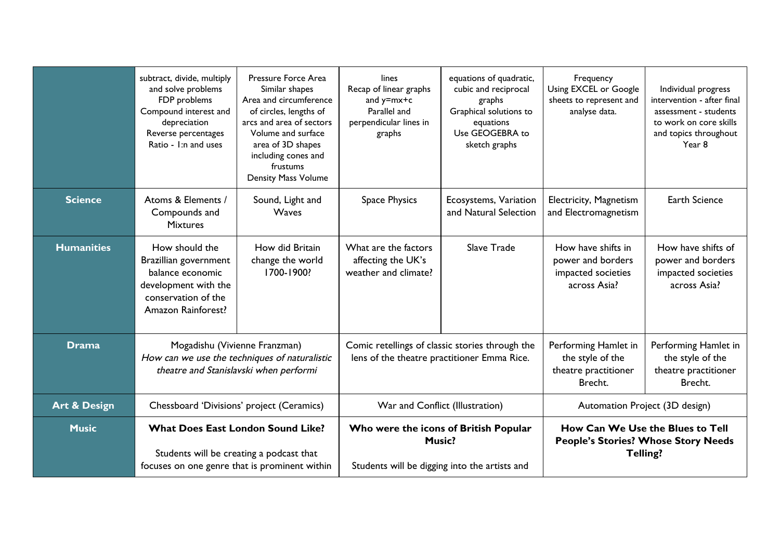|                         | subtract, divide, multiply<br>and solve problems<br>FDP problems<br>Compound interest and<br>depreciation<br>Reverse percentages<br>Ratio - I:n and uses | Pressure Force Area<br>Similar shapes<br>Area and circumference<br>of circles, lengths of<br>arcs and area of sectors<br>Volume and surface<br>area of 3D shapes<br>including cones and<br>frustums<br><b>Density Mass Volume</b> | lines<br>Recap of linear graphs<br>and $y=mx+c$<br>Parallel and<br>perpendicular lines in<br>graphs | equations of quadratic,<br>cubic and reciprocal<br>graphs<br>Graphical solutions to<br>equations<br>Use GEOGEBRA to<br>sketch graphs | Frequency<br>Using EXCEL or Google<br>sheets to represent and<br>analyse data. | Individual progress<br>intervention - after final<br>assessment - students<br>to work on core skills<br>and topics throughout<br>Year 8 |
|-------------------------|----------------------------------------------------------------------------------------------------------------------------------------------------------|-----------------------------------------------------------------------------------------------------------------------------------------------------------------------------------------------------------------------------------|-----------------------------------------------------------------------------------------------------|--------------------------------------------------------------------------------------------------------------------------------------|--------------------------------------------------------------------------------|-----------------------------------------------------------------------------------------------------------------------------------------|
| <b>Science</b>          | Atoms & Elements /<br>Compounds and<br><b>Mixtures</b>                                                                                                   | Sound, Light and<br>Waves                                                                                                                                                                                                         | <b>Space Physics</b>                                                                                | Ecosystems, Variation<br>and Natural Selection                                                                                       | Electricity, Magnetism<br>and Electromagnetism                                 | <b>Earth Science</b>                                                                                                                    |
| <b>Humanities</b>       | How should the<br>Brazillian government<br>balance economic<br>development with the<br>conservation of the<br>Amazon Rainforest?                         | How did Britain<br>change the world<br>1700-1900?                                                                                                                                                                                 | What are the factors<br>affecting the UK's<br>weather and climate?                                  | Slave Trade                                                                                                                          | How have shifts in<br>power and borders<br>impacted societies<br>across Asia?  | How have shifts of<br>power and borders<br>impacted societies<br>across Asia?                                                           |
| <b>Drama</b>            | Mogadishu (Vivienne Franzman)<br>How can we use the techniques of naturalistic                                                                           | theatre and Stanislavski when performi                                                                                                                                                                                            |                                                                                                     | Comic retellings of classic stories through the<br>lens of the theatre practitioner Emma Rice.                                       |                                                                                | Performing Hamlet in<br>the style of the<br>theatre practitioner<br>Brecht.                                                             |
| <b>Art &amp; Design</b> | Chessboard 'Divisions' project (Ceramics)                                                                                                                |                                                                                                                                                                                                                                   | War and Conflict (Illustration)                                                                     |                                                                                                                                      | Automation Project (3D design)                                                 |                                                                                                                                         |
| <b>Music</b>            | <b>What Does East London Sound Like?</b><br>Students will be creating a podcast that<br>focuses on one genre that is prominent within                    |                                                                                                                                                                                                                                   | Students will be digging into the artists and                                                       | Who were the icons of British Popular<br><b>Music?</b>                                                                               | <b>People's Stories? Whose Story Needs</b><br>Telling?                         | How Can We Use the Blues to Tell                                                                                                        |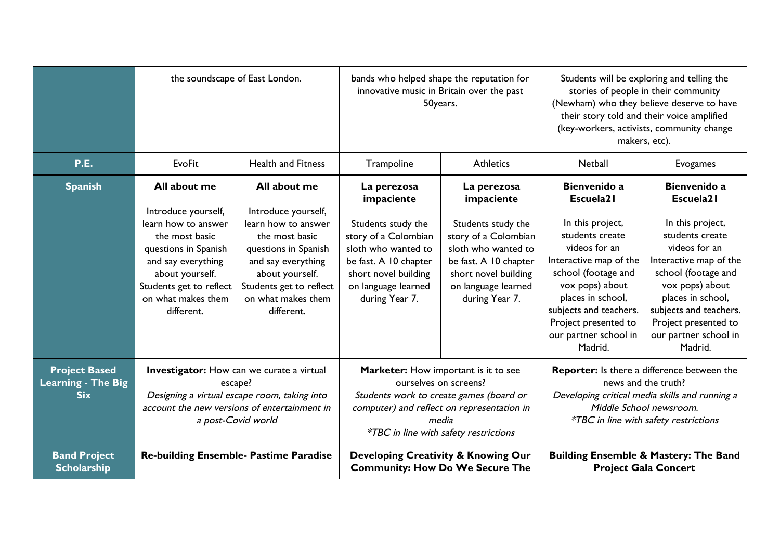|                                                                 | the soundscape of East London.                                                                                                                                                                               |                                                                                                                                                                                                              | bands who helped shape the reputation for<br>innovative music in Britain over the past<br>50years.                                                                                                              |                                                                                                                                                                                          | Students will be exploring and telling the<br>stories of people in their community<br>(Newham) who they believe deserve to have<br>their story told and their voice amplified<br>(key-workers, activists, community change<br>makers, etc).                      |                                                                                                                                                                                                                                                                         |
|-----------------------------------------------------------------|--------------------------------------------------------------------------------------------------------------------------------------------------------------------------------------------------------------|--------------------------------------------------------------------------------------------------------------------------------------------------------------------------------------------------------------|-----------------------------------------------------------------------------------------------------------------------------------------------------------------------------------------------------------------|------------------------------------------------------------------------------------------------------------------------------------------------------------------------------------------|------------------------------------------------------------------------------------------------------------------------------------------------------------------------------------------------------------------------------------------------------------------|-------------------------------------------------------------------------------------------------------------------------------------------------------------------------------------------------------------------------------------------------------------------------|
| <b>P.E.</b>                                                     | <b>EvoFit</b>                                                                                                                                                                                                | <b>Health and Fitness</b>                                                                                                                                                                                    | Trampoline                                                                                                                                                                                                      | <b>Athletics</b>                                                                                                                                                                         | Netball                                                                                                                                                                                                                                                          | Evogames                                                                                                                                                                                                                                                                |
| <b>Spanish</b>                                                  | All about me<br>Introduce yourself,<br>learn how to answer<br>the most basic<br>questions in Spanish<br>and say everything<br>about yourself.<br>Students get to reflect<br>on what makes them<br>different. | All about me<br>Introduce yourself,<br>learn how to answer<br>the most basic<br>questions in Spanish<br>and say everything<br>about yourself.<br>Students get to reflect<br>on what makes them<br>different. | La perezosa<br>impaciente<br>Students study the<br>story of a Colombian<br>sloth who wanted to<br>be fast. A 10 chapter<br>short novel building<br>on language learned<br>during Year 7.                        | La perezosa<br>impaciente<br>Students study the<br>story of a Colombian<br>sloth who wanted to<br>be fast. A 10 chapter<br>short novel building<br>on language learned<br>during Year 7. | Bienvenido a<br>Escuela21<br>In this project,<br>students create<br>videos for an<br>Interactive map of the<br>school (footage and<br>vox pops) about<br>places in school,<br>subjects and teachers.<br>Project presented to<br>our partner school in<br>Madrid. | <b>Bienvenido a</b><br>Escuela21<br>In this project,<br>students create<br>videos for an<br>Interactive map of the<br>school (footage and<br>vox pops) about<br>places in school,<br>subjects and teachers.<br>Project presented to<br>our partner school in<br>Madrid. |
| <b>Project Based</b><br><b>Learning - The Big</b><br><b>Six</b> | <b>Investigator:</b> How can we curate a virtual<br>escape?<br>Designing a virtual escape room, taking into                                                                                                  | account the new versions of entertainment in<br>a post-Covid world                                                                                                                                           | Marketer: How important is it to see<br>ourselves on screens?<br>Students work to create games (board or<br>computer) and reflect on representation in<br>media<br><i>*TBC</i> in line with safety restrictions |                                                                                                                                                                                          | news and the truth?                                                                                                                                                                                                                                              | <b>Reporter:</b> Is there a difference between the<br>Developing critical media skills and running a<br>Middle School newsroom.<br><i>*TBC</i> in line with safety restrictions                                                                                         |
| <b>Band Project</b><br><b>Scholarship</b>                       | <b>Re-building Ensemble- Pastime Paradise</b>                                                                                                                                                                |                                                                                                                                                                                                              | Developing Creativity & Knowing Our<br><b>Community: How Do We Secure The</b>                                                                                                                                   |                                                                                                                                                                                          | <b>Project Gala Concert</b>                                                                                                                                                                                                                                      | <b>Building Ensemble &amp; Mastery: The Band</b>                                                                                                                                                                                                                        |